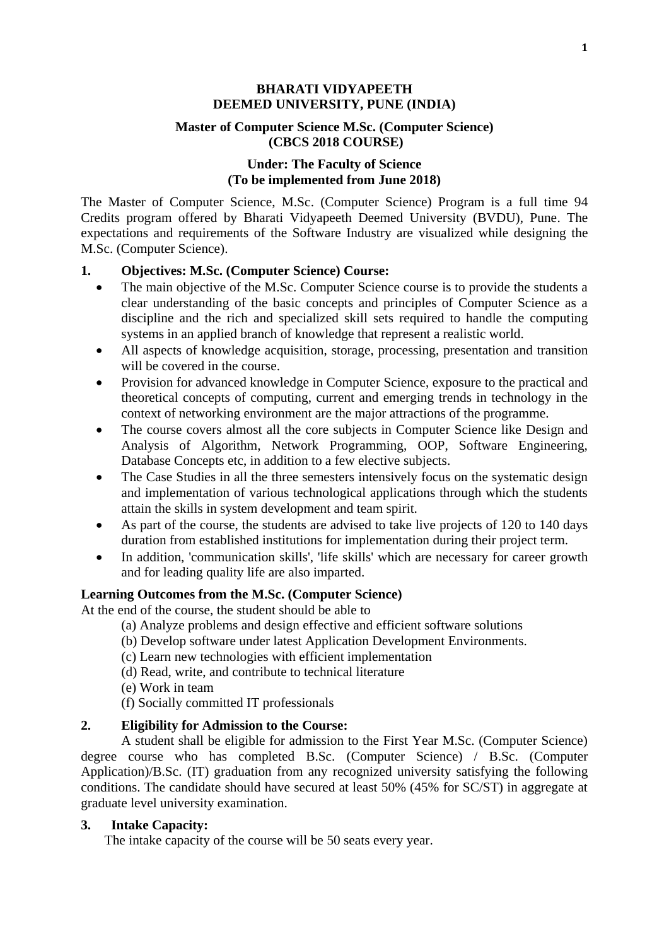### **BHARATI VIDYAPEETH DEEMED UNIVERSITY, PUNE (INDIA)**

### **Master of Computer Science M.Sc. (Computer Science) (CBCS 2018 COURSE)**

### **Under: The Faculty of Science (To be implemented from June 2018)**

The Master of Computer Science, M.Sc. (Computer Science) Program is a full time 94 Credits program offered by Bharati Vidyapeeth Deemed University (BVDU), Pune. The expectations and requirements of the Software Industry are visualized while designing the M.Sc. (Computer Science).

## **1. Objectives: M.Sc. (Computer Science) Course:**

- The main objective of the M.Sc. Computer Science course is to provide the students a clear understanding of the basic concepts and principles of Computer Science as a discipline and the rich and specialized skill sets required to handle the computing systems in an applied branch of knowledge that represent a realistic world.
- All aspects of knowledge acquisition, storage, processing, presentation and transition will be covered in the course.
- Provision for advanced knowledge in Computer Science, exposure to the practical and theoretical concepts of computing, current and emerging trends in technology in the context of networking environment are the major attractions of the programme.
- The course covers almost all the core subjects in Computer Science like Design and Analysis of Algorithm, Network Programming, OOP, Software Engineering, Database Concepts etc, in addition to a few elective subjects.
- The Case Studies in all the three semesters intensively focus on the systematic design and implementation of various technological applications through which the students attain the skills in system development and team spirit.
- As part of the course, the students are advised to take live projects of 120 to 140 days duration from established institutions for implementation during their project term.
- In addition, 'communication skills', 'life skills' which are necessary for career growth and for leading quality life are also imparted.

### **Learning Outcomes from the M.Sc. (Computer Science)**

At the end of the course, the student should be able to

- (a) Analyze problems and design effective and efficient software solutions
- (b) Develop software under latest Application Development Environments.
- (c) Learn new technologies with efficient implementation
- (d) Read, write, and contribute to technical literature
- (e) Work in team

(f) Socially committed IT professionals

# **2. Eligibility for Admission to the Course:**

A student shall be eligible for admission to the First Year M.Sc. (Computer Science) degree course who has completed B.Sc. (Computer Science) / B.Sc. (Computer Application)/B.Sc. (IT) graduation from any recognized university satisfying the following conditions. The candidate should have secured at least 50% (45% for SC/ST) in aggregate at graduate level university examination.

# **3. Intake Capacity:**

The intake capacity of the course will be 50 seats every year.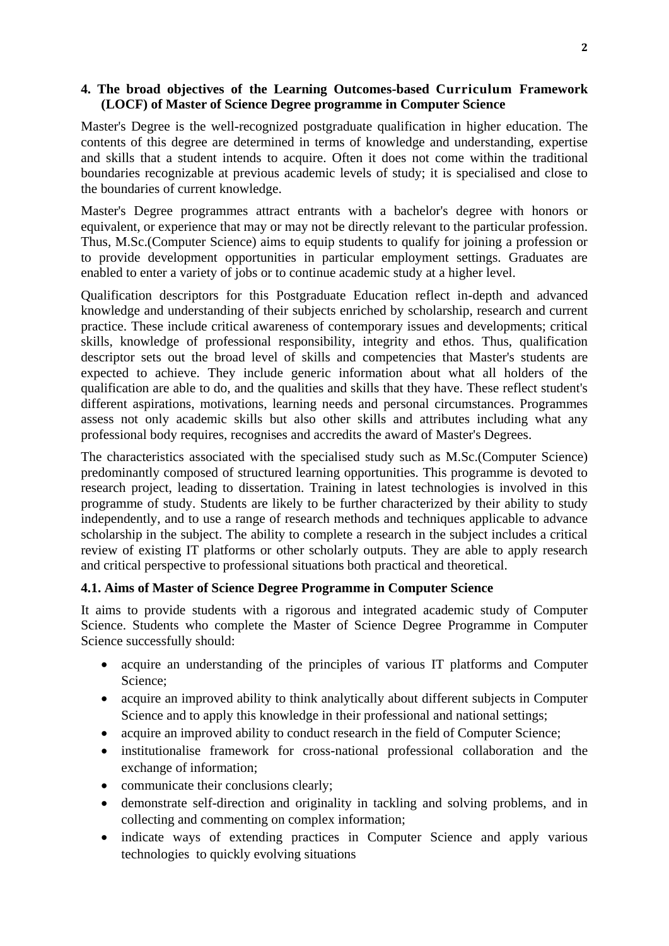## **4. The broad objectives of the Learning Outcomes-based Curriculum Framework (LOCF) of Master of Science Degree programme in Computer Science**

Master's Degree is the well-recognized postgraduate qualification in higher education. The contents of this degree are determined in terms of knowledge and understanding, expertise and skills that a student intends to acquire. Often it does not come within the traditional boundaries recognizable at previous academic levels of study; it is specialised and close to the boundaries of current knowledge.

Master's Degree programmes attract entrants with a bachelor's degree with honors or equivalent, or experience that may or may not be directly relevant to the particular profession. Thus, M.Sc.(Computer Science) aims to equip students to qualify for joining a profession or to provide development opportunities in particular employment settings. Graduates are enabled to enter a variety of jobs or to continue academic study at a higher level.

Qualification descriptors for this Postgraduate Education reflect in-depth and advanced knowledge and understanding of their subjects enriched by scholarship, research and current practice. These include critical awareness of contemporary issues and developments; critical skills, knowledge of professional responsibility, integrity and ethos. Thus, qualification descriptor sets out the broad level of skills and competencies that Master's students are expected to achieve. They include generic information about what all holders of the qualification are able to do, and the qualities and skills that they have. These reflect student's different aspirations, motivations, learning needs and personal circumstances. Programmes assess not only academic skills but also other skills and attributes including what any professional body requires, recognises and accredits the award of Master's Degrees.

The characteristics associated with the specialised study such as M.Sc.(Computer Science) predominantly composed of structured learning opportunities. This programme is devoted to research project, leading to dissertation. Training in latest technologies is involved in this programme of study. Students are likely to be further characterized by their ability to study independently, and to use a range of research methods and techniques applicable to advance scholarship in the subject. The ability to complete a research in the subject includes a critical review of existing IT platforms or other scholarly outputs. They are able to apply research and critical perspective to professional situations both practical and theoretical.

### **4.1. Aims of Master of Science Degree Programme in Computer Science**

It aims to provide students with a rigorous and integrated academic study of Computer Science. Students who complete the Master of Science Degree Programme in Computer Science successfully should:

- acquire an understanding of the principles of various IT platforms and Computer Science;
- acquire an improved ability to think analytically about different subjects in Computer Science and to apply this knowledge in their professional and national settings;
- acquire an improved ability to conduct research in the field of Computer Science;
- institutionalise framework for cross-national professional collaboration and the exchange of information;
- communicate their conclusions clearly:
- demonstrate self-direction and originality in tackling and solving problems, and in collecting and commenting on complex information;
- indicate ways of extending practices in Computer Science and apply various technologies to quickly evolving situations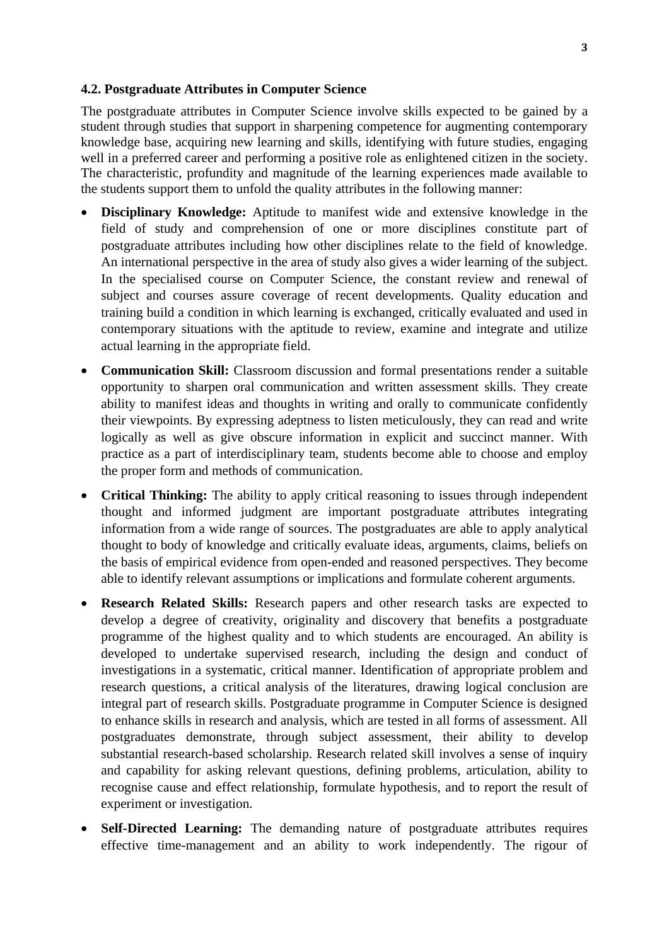#### **4.2. Postgraduate Attributes in Computer Science**

The postgraduate attributes in Computer Science involve skills expected to be gained by a student through studies that support in sharpening competence for augmenting contemporary knowledge base, acquiring new learning and skills, identifying with future studies, engaging well in a preferred career and performing a positive role as enlightened citizen in the society. The characteristic, profundity and magnitude of the learning experiences made available to the students support them to unfold the quality attributes in the following manner:

- **Disciplinary Knowledge:** Aptitude to manifest wide and extensive knowledge in the field of study and comprehension of one or more disciplines constitute part of postgraduate attributes including how other disciplines relate to the field of knowledge. An international perspective in the area of study also gives a wider learning of the subject. In the specialised course on Computer Science, the constant review and renewal of subject and courses assure coverage of recent developments. Quality education and training build a condition in which learning is exchanged, critically evaluated and used in contemporary situations with the aptitude to review, examine and integrate and utilize actual learning in the appropriate field.
- Communication Skill: Classroom discussion and formal presentations render a suitable opportunity to sharpen oral communication and written assessment skills. They create ability to manifest ideas and thoughts in writing and orally to communicate confidently their viewpoints. By expressing adeptness to listen meticulously, they can read and write logically as well as give obscure information in explicit and succinct manner. With practice as a part of interdisciplinary team, students become able to choose and employ the proper form and methods of communication.
- **Critical Thinking:** The ability to apply critical reasoning to issues through independent thought and informed judgment are important postgraduate attributes integrating information from a wide range of sources. The postgraduates are able to apply analytical thought to body of knowledge and critically evaluate ideas, arguments, claims, beliefs on the basis of empirical evidence from open-ended and reasoned perspectives. They become able to identify relevant assumptions or implications and formulate coherent arguments.
- **Research Related Skills:** Research papers and other research tasks are expected to develop a degree of creativity, originality and discovery that benefits a postgraduate programme of the highest quality and to which students are encouraged. An ability is developed to undertake supervised research, including the design and conduct of investigations in a systematic, critical manner. Identification of appropriate problem and research questions, a critical analysis of the literatures, drawing logical conclusion are integral part of research skills. Postgraduate programme in Computer Science is designed to enhance skills in research and analysis, which are tested in all forms of assessment. All postgraduates demonstrate, through subject assessment, their ability to develop substantial research-based scholarship. Research related skill involves a sense of inquiry and capability for asking relevant questions, defining problems, articulation, ability to recognise cause and effect relationship, formulate hypothesis, and to report the result of experiment or investigation.
- **Self-Directed Learning:** The demanding nature of postgraduate attributes requires effective time-management and an ability to work independently. The rigour of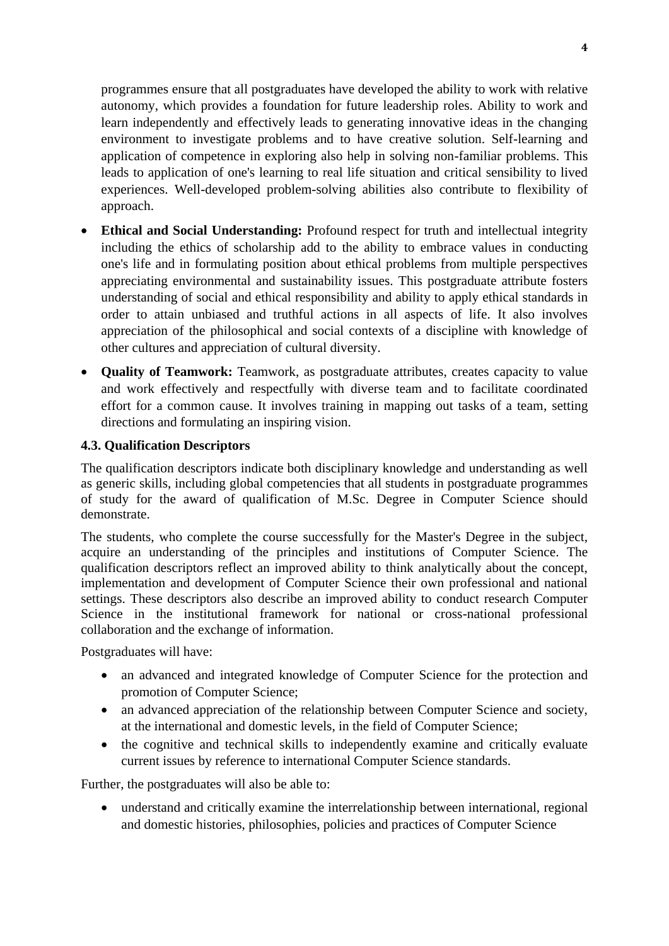programmes ensure that all postgraduates have developed the ability to work with relative autonomy, which provides a foundation for future leadership roles. Ability to work and learn independently and effectively leads to generating innovative ideas in the changing environment to investigate problems and to have creative solution. Self-learning and application of competence in exploring also help in solving non-familiar problems. This leads to application of one's learning to real life situation and critical sensibility to lived experiences. Well-developed problem-solving abilities also contribute to flexibility of approach.

- **Ethical and Social Understanding:** Profound respect for truth and intellectual integrity including the ethics of scholarship add to the ability to embrace values in conducting one's life and in formulating position about ethical problems from multiple perspectives appreciating environmental and sustainability issues. This postgraduate attribute fosters understanding of social and ethical responsibility and ability to apply ethical standards in order to attain unbiased and truthful actions in all aspects of life. It also involves appreciation of the philosophical and social contexts of a discipline with knowledge of other cultures and appreciation of cultural diversity.
- **Quality of Teamwork:** Teamwork, as postgraduate attributes, creates capacity to value and work effectively and respectfully with diverse team and to facilitate coordinated effort for a common cause. It involves training in mapping out tasks of a team, setting directions and formulating an inspiring vision.

### **4.3. Qualification Descriptors**

The qualification descriptors indicate both disciplinary knowledge and understanding as well as generic skills, including global competencies that all students in postgraduate programmes of study for the award of qualification of M.Sc. Degree in Computer Science should demonstrate.

The students, who complete the course successfully for the Master's Degree in the subject, acquire an understanding of the principles and institutions of Computer Science. The qualification descriptors reflect an improved ability to think analytically about the concept, implementation and development of Computer Science their own professional and national settings. These descriptors also describe an improved ability to conduct research Computer Science in the institutional framework for national or cross-national professional collaboration and the exchange of information.

Postgraduates will have:

- an advanced and integrated knowledge of Computer Science for the protection and promotion of Computer Science;
- an advanced appreciation of the relationship between Computer Science and society, at the international and domestic levels, in the field of Computer Science;
- the cognitive and technical skills to independently examine and critically evaluate current issues by reference to international Computer Science standards.

Further, the postgraduates will also be able to:

 understand and critically examine the interrelationship between international, regional and domestic histories, philosophies, policies and practices of Computer Science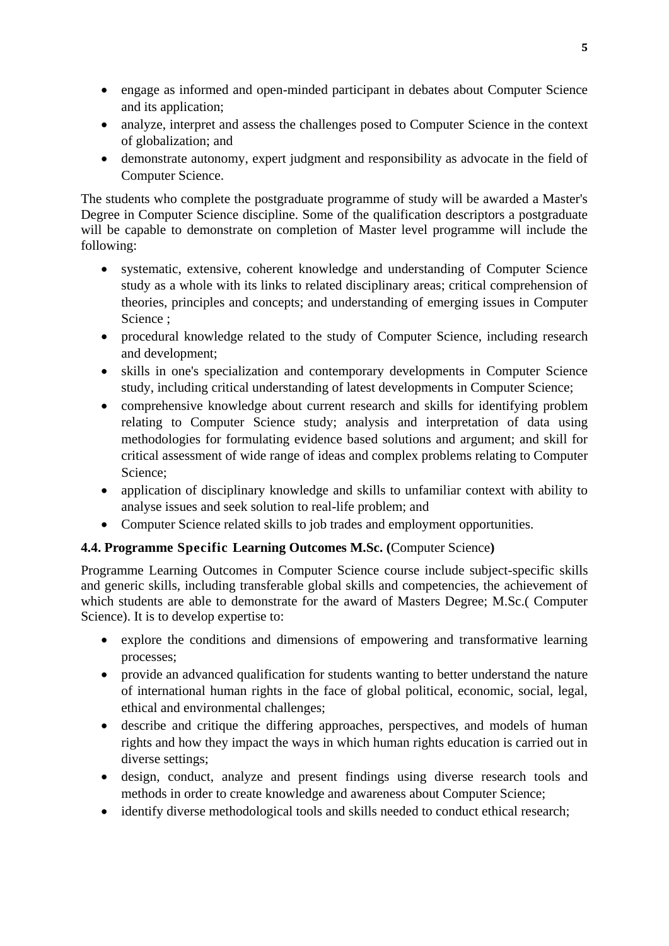- engage as informed and open-minded participant in debates about Computer Science and its application;
- analyze, interpret and assess the challenges posed to Computer Science in the context of globalization; and
- demonstrate autonomy, expert judgment and responsibility as advocate in the field of Computer Science.

The students who complete the postgraduate programme of study will be awarded a Master's Degree in Computer Science discipline. Some of the qualification descriptors a postgraduate will be capable to demonstrate on completion of Master level programme will include the following:

- systematic, extensive, coherent knowledge and understanding of Computer Science study as a whole with its links to related disciplinary areas; critical comprehension of theories, principles and concepts; and understanding of emerging issues in Computer Science ;
- procedural knowledge related to the study of Computer Science, including research and development;
- skills in one's specialization and contemporary developments in Computer Science study, including critical understanding of latest developments in Computer Science;
- comprehensive knowledge about current research and skills for identifying problem relating to Computer Science study; analysis and interpretation of data using methodologies for formulating evidence based solutions and argument; and skill for critical assessment of wide range of ideas and complex problems relating to Computer Science;
- application of disciplinary knowledge and skills to unfamiliar context with ability to analyse issues and seek solution to real-life problem; and
- Computer Science related skills to job trades and employment opportunities.

# **4.4. Programme Specific Learning Outcomes M.Sc. (**Computer Science**)**

Programme Learning Outcomes in Computer Science course include subject-specific skills and generic skills, including transferable global skills and competencies, the achievement of which students are able to demonstrate for the award of Masters Degree; M.Sc.( Computer Science). It is to develop expertise to:

- explore the conditions and dimensions of empowering and transformative learning processes;
- provide an advanced qualification for students wanting to better understand the nature of international human rights in the face of global political, economic, social, legal, ethical and environmental challenges;
- describe and critique the differing approaches, perspectives, and models of human rights and how they impact the ways in which human rights education is carried out in diverse settings;
- design, conduct, analyze and present findings using diverse research tools and methods in order to create knowledge and awareness about Computer Science;
- identify diverse methodological tools and skills needed to conduct ethical research;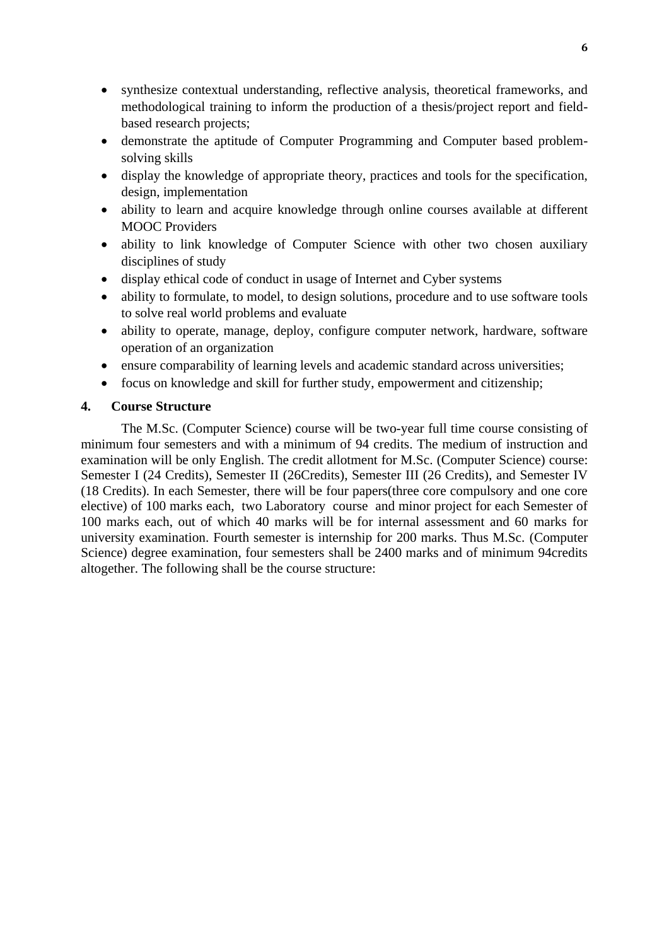- synthesize contextual understanding, reflective analysis, theoretical frameworks, and methodological training to inform the production of a thesis/project report and fieldbased research projects;
- demonstrate the aptitude of Computer Programming and Computer based problemsolving skills
- display the knowledge of appropriate theory, practices and tools for the specification, design, implementation
- ability to learn and acquire knowledge through online courses available at different MOOC Providers
- ability to link knowledge of Computer Science with other two chosen auxiliary disciplines of study
- display ethical code of conduct in usage of Internet and Cyber systems
- ability to formulate, to model, to design solutions, procedure and to use software tools to solve real world problems and evaluate
- ability to operate, manage, deploy, configure computer network, hardware, software operation of an organization
- ensure comparability of learning levels and academic standard across universities;
- focus on knowledge and skill for further study, empowerment and citizenship;

### **4. Course Structure**

The M.Sc. (Computer Science) course will be two-year full time course consisting of minimum four semesters and with a minimum of 94 credits. The medium of instruction and examination will be only English. The credit allotment for M.Sc. (Computer Science) course: Semester I (24 Credits), Semester II (26Credits), Semester III (26 Credits), and Semester IV (18 Credits). In each Semester, there will be four papers(three core compulsory and one core elective) of 100 marks each, two Laboratory course and minor project for each Semester of 100 marks each, out of which 40 marks will be for internal assessment and 60 marks for university examination. Fourth semester is internship for 200 marks. Thus M.Sc. (Computer Science) degree examination, four semesters shall be 2400 marks and of minimum 94credits altogether. The following shall be the course structure: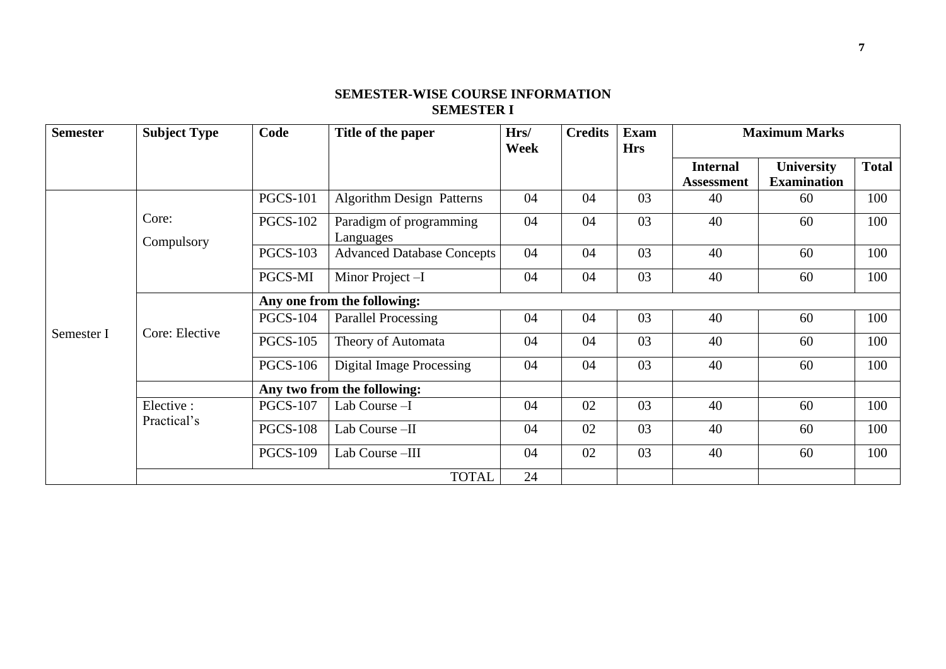# **SEMESTER-WISE COURSE INFORMATION SEMESTER I**

| <b>Semester</b> | <b>Subject Type</b> | Code                        | Title of the paper                   | Hrs/<br>Week | <b>Credits</b><br><b>Exam</b><br><b>Hrs</b> |    |                                      | <b>Maximum Marks</b>                    |              |  |
|-----------------|---------------------|-----------------------------|--------------------------------------|--------------|---------------------------------------------|----|--------------------------------------|-----------------------------------------|--------------|--|
|                 |                     |                             |                                      |              |                                             |    | <b>Internal</b><br><b>Assessment</b> | <b>University</b><br><b>Examination</b> | <b>Total</b> |  |
|                 |                     | <b>PGCS-101</b>             | <b>Algorithm Design Patterns</b>     | 04           | 04                                          | 03 | 40                                   | 60                                      | 100          |  |
|                 | Core:<br>Compulsory | <b>PGCS-102</b>             | Paradigm of programming<br>Languages | 04           | 04                                          | 03 | 40                                   | 60                                      | 100          |  |
|                 |                     | <b>PGCS-103</b>             | <b>Advanced Database Concepts</b>    | 04           | 04                                          | 03 | 40                                   | 60                                      | 100          |  |
|                 |                     | PGCS-MI                     | Minor Project -I                     | 04           | 04                                          | 03 | 40                                   | 60                                      | 100          |  |
|                 | Core: Elective      | Any one from the following: |                                      |              |                                             |    |                                      |                                         |              |  |
|                 |                     | <b>PGCS-104</b>             | <b>Parallel Processing</b>           | 04           | 04                                          | 03 | 40                                   | 60                                      | 100          |  |
| Semester I      |                     | <b>PGCS-105</b>             | Theory of Automata                   | 04           | 04                                          | 03 | 40                                   | 60                                      | 100          |  |
|                 |                     | <b>PGCS-106</b>             | <b>Digital Image Processing</b>      | 04           | 04                                          | 03 | 40                                   | 60                                      | 100          |  |
|                 |                     |                             | Any two from the following:          |              |                                             |    |                                      |                                         |              |  |
|                 | Elective :          | <b>PGCS-107</b>             | Lab Course -I                        | 04           | 02                                          | 03 | 40                                   | 60                                      | 100          |  |
|                 | Practical's         | <b>PGCS-108</b>             | Lab Course -II                       | 04           | 02                                          | 03 | 40                                   | 60                                      | 100          |  |
|                 |                     | <b>PGCS-109</b>             | Lab Course-III                       | 04           | 02                                          | 03 | 40                                   | 60                                      | 100          |  |
|                 |                     |                             | <b>TOTAL</b>                         | 24           |                                             |    |                                      |                                         |              |  |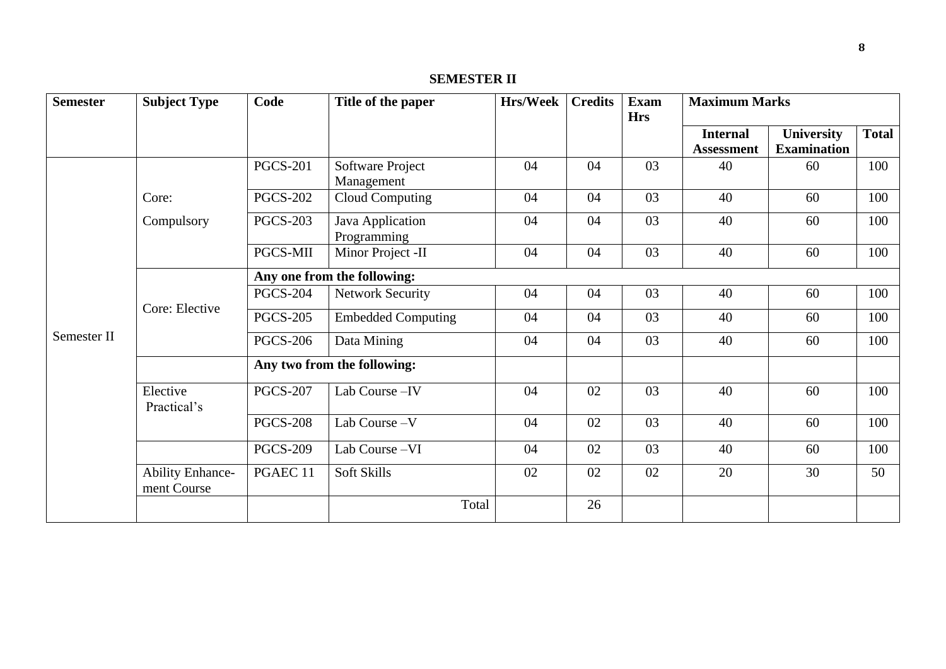# **SEMESTER II**

| <b>Semester</b> | <b>Subject Type</b>                    | Code                        | Title of the paper              | <b>Hrs/Week</b> | <b>Credits</b> | <b>Exam</b><br><b>Hrs</b> | <b>Maximum Marks</b>                 |                                         |              |  |  |
|-----------------|----------------------------------------|-----------------------------|---------------------------------|-----------------|----------------|---------------------------|--------------------------------------|-----------------------------------------|--------------|--|--|
|                 |                                        |                             |                                 |                 |                |                           | <b>Internal</b><br><b>Assessment</b> | <b>University</b><br><b>Examination</b> | <b>Total</b> |  |  |
|                 |                                        | <b>PGCS-201</b>             | Software Project<br>Management  | 04              | 04             | 03                        | 40                                   | 60                                      | 100          |  |  |
|                 | Core:                                  | <b>PGCS-202</b>             | <b>Cloud Computing</b>          | 04              | 04             | 03                        | 40                                   | 60                                      | 100          |  |  |
|                 | Compulsory                             | <b>PGCS-203</b>             | Java Application<br>Programming | 04              | 04             | 03                        | 40                                   | 60                                      | 100          |  |  |
|                 |                                        | PGCS-MII                    | Minor Project -II               | 04              | 04             | 03                        | 40                                   | 60                                      | 100          |  |  |
|                 |                                        | Any one from the following: |                                 |                 |                |                           |                                      |                                         |              |  |  |
|                 | Core: Elective                         | <b>PGCS-204</b>             | <b>Network Security</b>         | 04              | 04             | 03                        | 40                                   | 60                                      | 100          |  |  |
|                 |                                        | <b>PGCS-205</b>             | <b>Embedded Computing</b>       | 04              | 04             | 03                        | 40                                   | 60                                      | 100          |  |  |
| Semester II     |                                        | <b>PGCS-206</b>             | Data Mining                     | 04              | 04             | 03                        | 40                                   | 60                                      | 100          |  |  |
|                 |                                        |                             | Any two from the following:     |                 |                |                           |                                      |                                         |              |  |  |
|                 | Elective<br>Practical's                | <b>PGCS-207</b>             | Lab Course-IV                   | 04              | 02             | 03                        | 40                                   | 60                                      | 100          |  |  |
|                 |                                        | <b>PGCS-208</b>             | Lab Course - V                  | 04              | 02             | 03                        | 40                                   | 60                                      | 100          |  |  |
|                 |                                        | <b>PGCS-209</b>             | Lab Course-VI                   | 04              | 02             | 03                        | 40                                   | 60                                      | 100          |  |  |
|                 | <b>Ability Enhance-</b><br>ment Course | PGAEC 11                    | Soft Skills                     | 02              | 02             | 02                        | 20                                   | 30                                      | 50           |  |  |
|                 |                                        |                             | Total                           |                 | 26             |                           |                                      |                                         |              |  |  |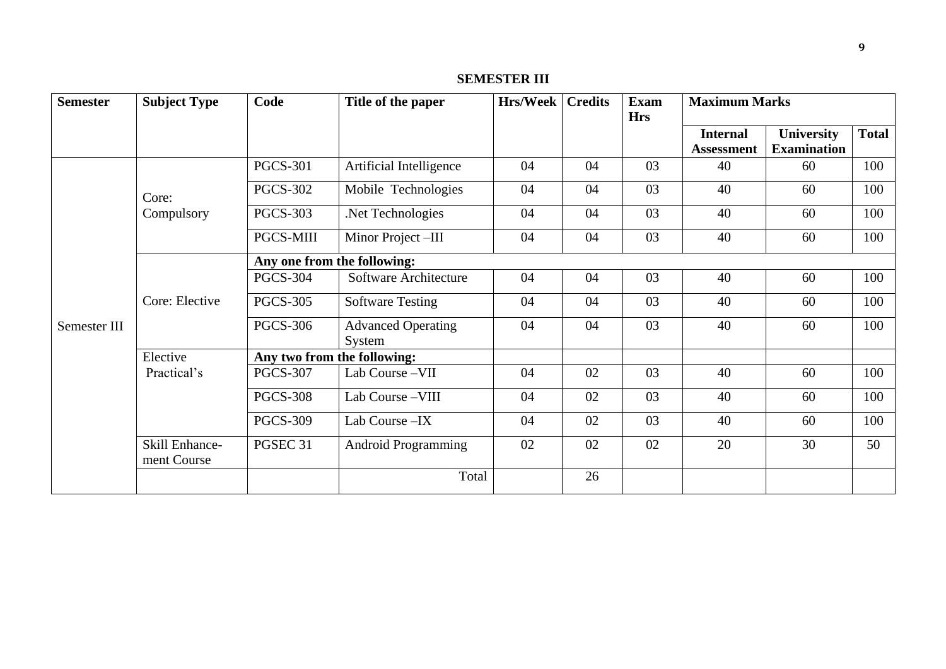# **SEMESTER III**

| <b>Semester</b> | <b>Subject Type</b>           | Code                        | Title of the paper                  | <b>Hrs/Week   Credits</b> |    | <b>Exam</b><br><b>Hrs</b> | <b>Maximum Marks</b>                 |                                  |              |  |  |
|-----------------|-------------------------------|-----------------------------|-------------------------------------|---------------------------|----|---------------------------|--------------------------------------|----------------------------------|--------------|--|--|
|                 |                               |                             |                                     |                           |    |                           | <b>Internal</b><br><b>Assessment</b> | University<br><b>Examination</b> | <b>Total</b> |  |  |
|                 |                               | <b>PGCS-301</b>             | Artificial Intelligence             | 04                        | 04 | 03                        | 40                                   | 60                               | 100          |  |  |
|                 | Core:                         | <b>PGCS-302</b>             | Mobile Technologies                 | 04                        | 04 | 03                        | 40                                   | 60                               | 100          |  |  |
|                 | Compulsory                    | <b>PGCS-303</b>             | Net Technologies                    | 04                        | 04 | 03                        | 40                                   | 60                               | 100          |  |  |
|                 |                               | <b>PGCS-MIII</b>            | Minor Project-III                   | 04                        | 04 | 03                        | 40                                   | 60                               | 100          |  |  |
|                 |                               | Any one from the following: |                                     |                           |    |                           |                                      |                                  |              |  |  |
|                 |                               | <b>PGCS-304</b>             | Software Architecture               | 04                        | 04 | 03                        | 40                                   | 60                               | 100          |  |  |
|                 | Core: Elective                | <b>PGCS-305</b>             | <b>Software Testing</b>             | 04                        | 04 | 03                        | 40                                   | 60                               | 100          |  |  |
| Semester III    |                               | <b>PGCS-306</b>             | <b>Advanced Operating</b><br>System | 04                        | 04 | 03                        | 40                                   | 60                               | 100          |  |  |
|                 | Elective                      |                             | Any two from the following:         |                           |    |                           |                                      |                                  |              |  |  |
|                 | Practical's                   | <b>PGCS-307</b>             | Lab Course-VII                      | 04                        | 02 | 03                        | 40                                   | 60                               | 100          |  |  |
|                 |                               | <b>PGCS-308</b>             | Lab Course-VIII                     | 04                        | 02 | 03                        | 40                                   | 60                               | 100          |  |  |
|                 |                               | <b>PGCS-309</b>             | Lab Course - IX                     | 04                        | 02 | 03                        | 40                                   | 60                               | 100          |  |  |
|                 | Skill Enhance-<br>ment Course | PGSEC 31                    | <b>Android Programming</b>          | 02                        | 02 | 02                        | 20                                   | 30                               | 50           |  |  |
|                 |                               |                             | Total                               |                           | 26 |                           |                                      |                                  |              |  |  |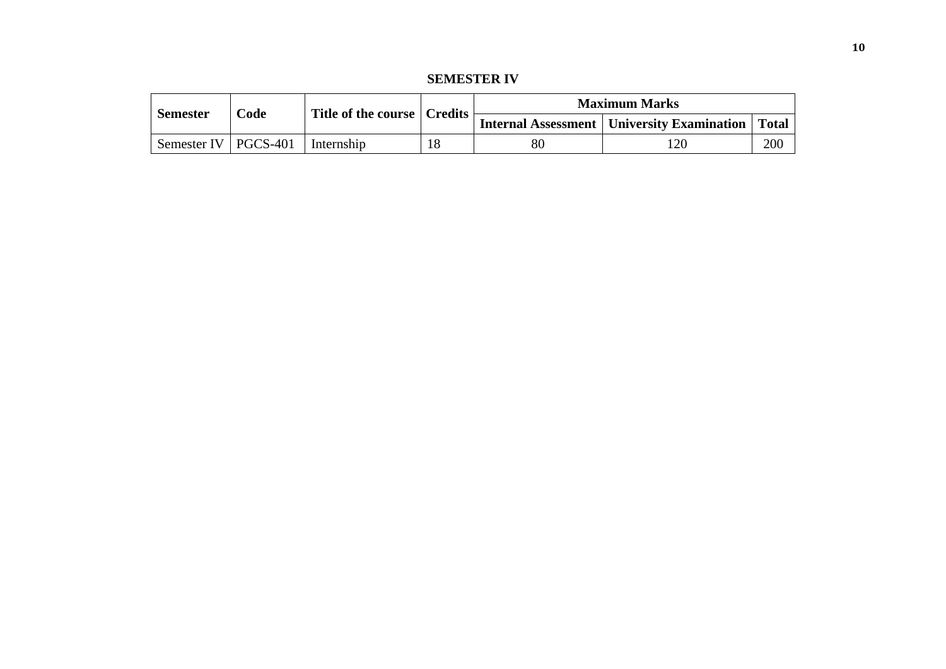**SEMESTER IV**

|                        | $\mathbf{Code}$ |            | Title of the course   Credits | <b>Maximum Marks</b> |                                                             |     |  |  |
|------------------------|-----------------|------------|-------------------------------|----------------------|-------------------------------------------------------------|-----|--|--|
| <b>Semester</b>        |                 |            |                               |                      | <b>Internal Assessment   University Examination   Total</b> |     |  |  |
| Semester IV   PGCS-401 |                 | Internship |                               | 80                   |                                                             | 200 |  |  |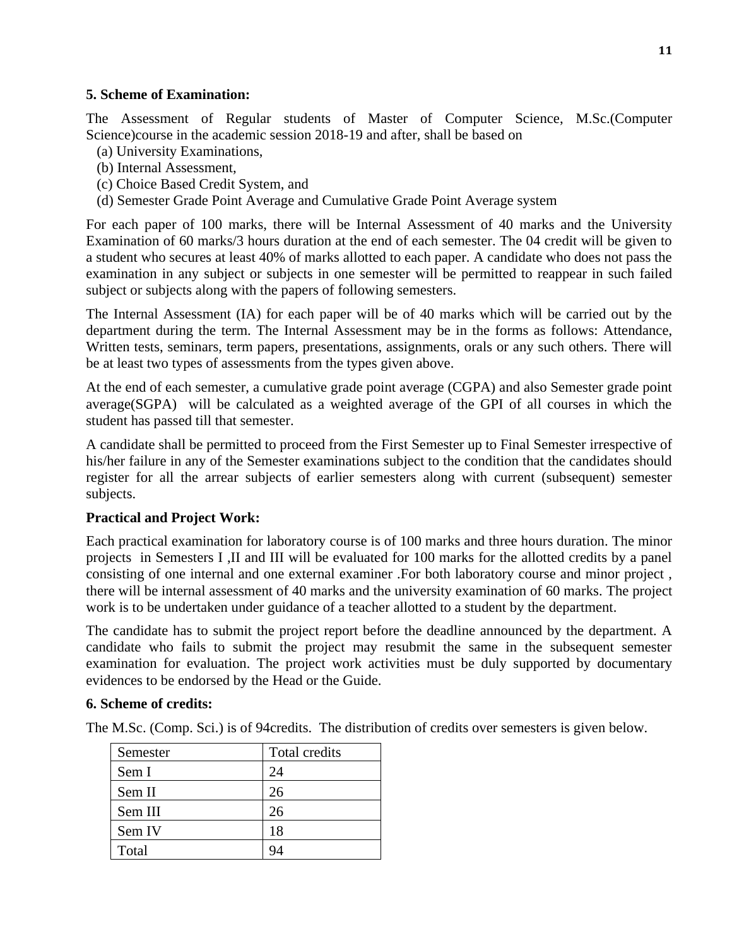### **5. Scheme of Examination:**

The Assessment of Regular students of Master of Computer Science, M.Sc.(Computer Science)course in the academic session 2018-19 and after, shall be based on

- (a) University Examinations,
- (b) Internal Assessment,
- (c) Choice Based Credit System, and
- (d) Semester Grade Point Average and Cumulative Grade Point Average system

For each paper of 100 marks, there will be Internal Assessment of 40 marks and the University Examination of 60 marks/3 hours duration at the end of each semester. The 04 credit will be given to a student who secures at least 40% of marks allotted to each paper. A candidate who does not pass the examination in any subject or subjects in one semester will be permitted to reappear in such failed subject or subjects along with the papers of following semesters.

The Internal Assessment (IA) for each paper will be of 40 marks which will be carried out by the department during the term. The Internal Assessment may be in the forms as follows: Attendance, Written tests, seminars, term papers, presentations, assignments, orals or any such others. There will be at least two types of assessments from the types given above.

At the end of each semester, a cumulative grade point average (CGPA) and also Semester grade point average(SGPA) will be calculated as a weighted average of the GPI of all courses in which the student has passed till that semester.

A candidate shall be permitted to proceed from the First Semester up to Final Semester irrespective of his/her failure in any of the Semester examinations subject to the condition that the candidates should register for all the arrear subjects of earlier semesters along with current (subsequent) semester subjects.

# **Practical and Project Work:**

Each practical examination for laboratory course is of 100 marks and three hours duration. The minor projects in Semesters I ,II and III will be evaluated for 100 marks for the allotted credits by a panel consisting of one internal and one external examiner .For both laboratory course and minor project , there will be internal assessment of 40 marks and the university examination of 60 marks. The project work is to be undertaken under guidance of a teacher allotted to a student by the department.

The candidate has to submit the project report before the deadline announced by the department. A candidate who fails to submit the project may resubmit the same in the subsequent semester examination for evaluation. The project work activities must be duly supported by documentary evidences to be endorsed by the Head or the Guide.

### **6. Scheme of credits:**

The M.Sc. (Comp. Sci.) is of 94credits. The distribution of credits over semesters is given below.

| Semester | Total credits |
|----------|---------------|
| Sem I    | 24            |
| Sem II   | 26            |
| Sem III  | 26            |
| Sem IV   | 18            |
| Total    |               |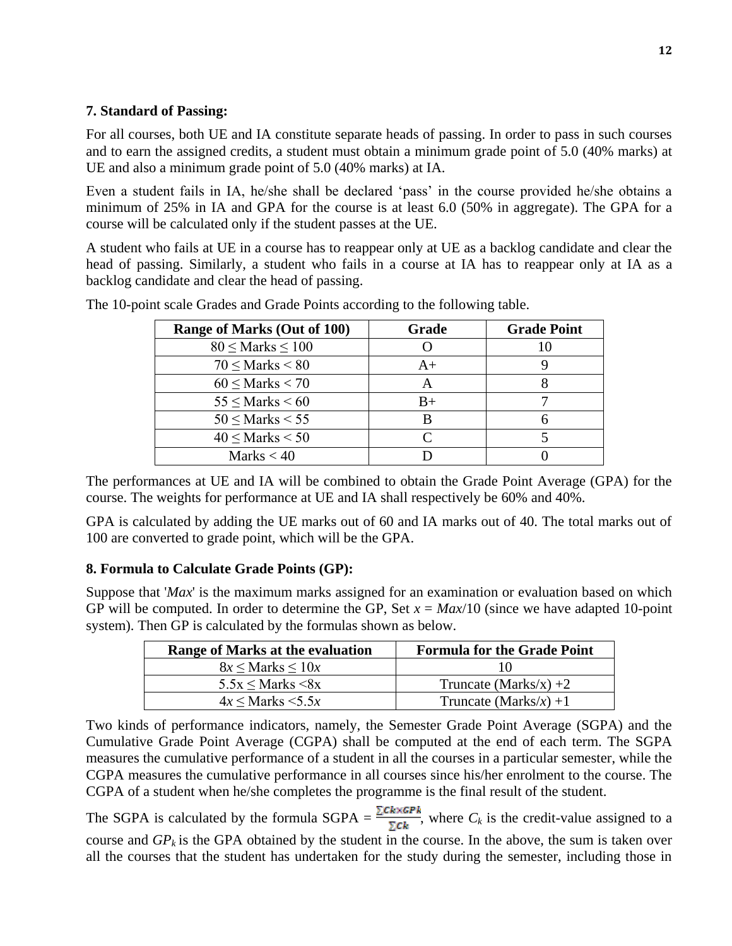## **7. Standard of Passing:**

For all courses, both UE and IA constitute separate heads of passing. In order to pass in such courses and to earn the assigned credits, a student must obtain a minimum grade point of 5.0 (40% marks) at UE and also a minimum grade point of 5.0 (40% marks) at IA.

Even a student fails in IA, he/she shall be declared 'pass' in the course provided he/she obtains a minimum of 25% in IA and GPA for the course is at least 6.0 (50% in aggregate). The GPA for a course will be calculated only if the student passes at the UE.

A student who fails at UE in a course has to reappear only at UE as a backlog candidate and clear the head of passing. Similarly, a student who fails in a course at IA has to reappear only at IA as a backlog candidate and clear the head of passing.

| Range of Marks (Out of 100) | Grade | <b>Grade Point</b> |
|-----------------------------|-------|--------------------|
| $80 \leq$ Marks $\leq 100$  |       |                    |
| $70 <$ Marks $< 80$         | $A+$  |                    |
| $60 \leq$ Marks $<$ 70      |       |                    |
| $55 <$ Marks $< 60$         | $B+$  |                    |
| $50 <$ Marks $< 55$         |       |                    |
| $40 <$ Marks $< 50$         |       |                    |
| Marks $< 40$                |       |                    |

The 10-point scale Grades and Grade Points according to the following table.

The performances at UE and IA will be combined to obtain the Grade Point Average (GPA) for the course. The weights for performance at UE and IA shall respectively be 60% and 40%.

GPA is calculated by adding the UE marks out of 60 and IA marks out of 40. The total marks out of 100 are converted to grade point, which will be the GPA.

# **8. Formula to Calculate Grade Points (GP):**

Suppose that '*Max*' is the maximum marks assigned for an examination or evaluation based on which GP will be computed. In order to determine the GP, Set  $x = \frac{Max}{10}$  (since we have adapted 10-point system). Then GP is calculated by the formulas shown as below.

| Range of Marks at the evaluation | <b>Formula for the Grade Point</b> |
|----------------------------------|------------------------------------|
| $8x \leq$ Marks $\leq 10x$       | 10)                                |
| $5.5x \leq$ Marks $\leq 8x$      | Truncate (Marks/x) $+2$            |
| $4x \leq$ Marks $\leq 5.5x$      | Truncate (Marks/x) +1              |

Two kinds of performance indicators, namely, the Semester Grade Point Average (SGPA) and the Cumulative Grade Point Average (CGPA) shall be computed at the end of each term. The SGPA measures the cumulative performance of a student in all the courses in a particular semester, while the CGPA measures the cumulative performance in all courses since his/her enrolment to the course. The CGPA of a student when he/she completes the programme is the final result of the student.

The SGPA is calculated by the formula SGPA =  $\frac{\sum C k \times GPR}{\sum C k}$ , where  $C_k$  is the credit-value assigned to a course and  $GP_k$  is the GPA obtained by the student in the course. In the above, the sum is taken over all the courses that the student has undertaken for the study during the semester, including those in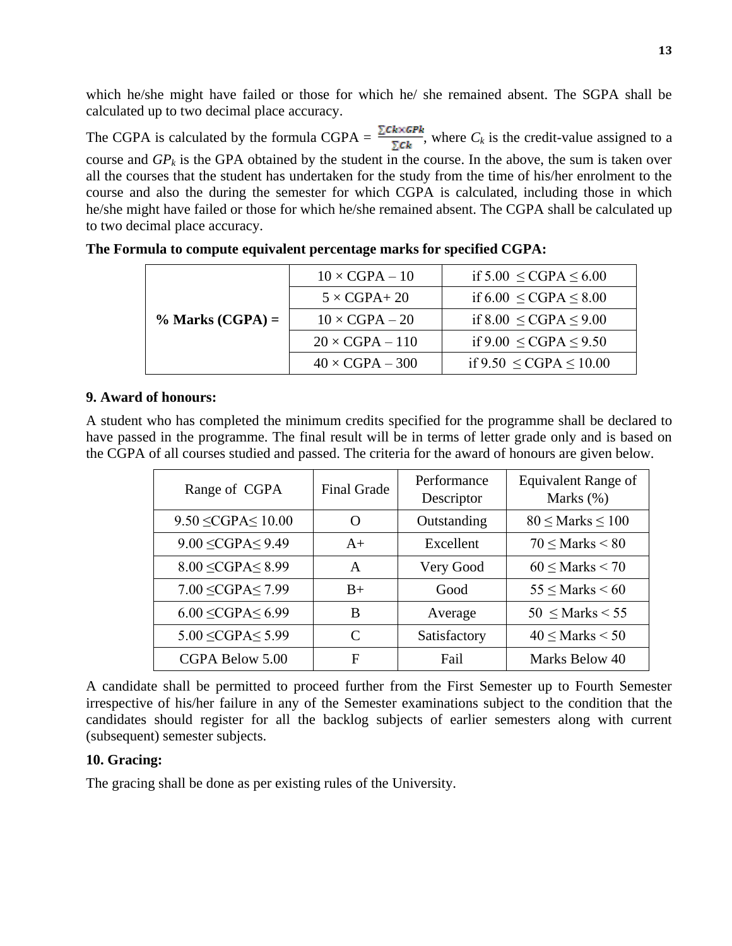which he/she might have failed or those for which he/ she remained absent. The SGPA shall be calculated up to two decimal place accuracy.

The CGPA is calculated by the formula CGPA =  $\frac{\sum c_k \times GPR}{\sum c_k}$ , where  $C_k$  is the credit-value assigned to a course and  $GP_k$  is the GPA obtained by the student in the course. In the above, the sum is taken over all the courses that the student has undertaken for the study from the time of his/her enrolment to the course and also the during the semester for which CGPA is calculated, including those in which he/she might have failed or those for which he/she remained absent. The CGPA shall be calculated up to two decimal place accuracy.

|                    | $10 \times CGPA - 10$  | if $5.00 \leq CGPA \leq 6.00$  |
|--------------------|------------------------|--------------------------------|
|                    | $5 \times CGPA + 20$   | if $6.00 \leq CGPA \leq 8.00$  |
| $%$ Marks (CGPA) = | $10 \times CGPA - 20$  | if $8.00 \leq CGPA \leq 9.00$  |
|                    | $20 \times CGPA - 110$ | if $9.00 \leq CGPA \leq 9.50$  |
|                    | $40 \times CGPA - 300$ | if $9.50 \leq CGPA \leq 10.00$ |

### **9. Award of honours:**

A student who has completed the minimum credits specified for the programme shall be declared to have passed in the programme. The final result will be in terms of letter grade only and is based on the CGPA of all courses studied and passed. The criteria for the award of honours are given below.

| Range of CGPA               | <b>Final Grade</b> | Performance<br>Descriptor | <b>Equivalent Range of</b><br>Marks $(\%)$ |
|-----------------------------|--------------------|---------------------------|--------------------------------------------|
| $9.50 \leq CGPA \leq 10.00$ | O                  | Outstanding               | $80 \leq$ Marks $\leq 100$                 |
| $9.00 \leq CGPA \leq 9.49$  | $A+$               | Excellent                 | $70 <$ Marks $< 80$                        |
| $8.00 \leq CGPA \leq 8.99$  | A                  | Very Good                 | $60 <$ Marks $< 70$                        |
| $7.00 \leq CGPA \leq 7.99$  | $B+$               | Good                      | $55 <$ Marks $< 60$                        |
| $6.00 \leq CGPA \leq 6.99$  | B                  | Average                   | $50 \leq Marks < 55$                       |
| $5.00 \leq CGPA \leq 5.99$  | $\mathcal{C}$      | Satisfactory              | $40 <$ Marks $< 50$                        |
| CGPA Below 5.00             | F                  | Fail                      | Marks Below 40                             |

A candidate shall be permitted to proceed further from the First Semester up to Fourth Semester irrespective of his/her failure in any of the Semester examinations subject to the condition that the candidates should register for all the backlog subjects of earlier semesters along with current (subsequent) semester subjects.

### **10. Gracing:**

The gracing shall be done as per existing rules of the University.